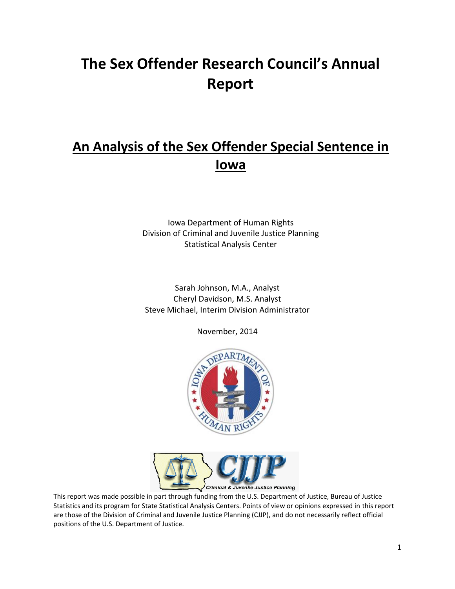# **The Sex Offender Research Council's Annual Report**

# **An Analysis of the Sex Offender Special Sentence in Iowa**

Iowa Department of Human Rights Division of Criminal and Juvenile Justice Planning Statistical Analysis Center

Sarah Johnson, M.A., Analyst Cheryl Davidson, M.S. Analyst Steve Michael, Interim Division Administrator

November, 2014





This report was made possible in part through funding from the U.S. Department of Justice, Bureau of Justice Statistics and its program for State Statistical Analysis Centers. Points of view or opinions expressed in this report are those of the Division of Criminal and Juvenile Justice Planning (CJJP), and do not necessarily reflect official positions of the U.S. Department of Justice.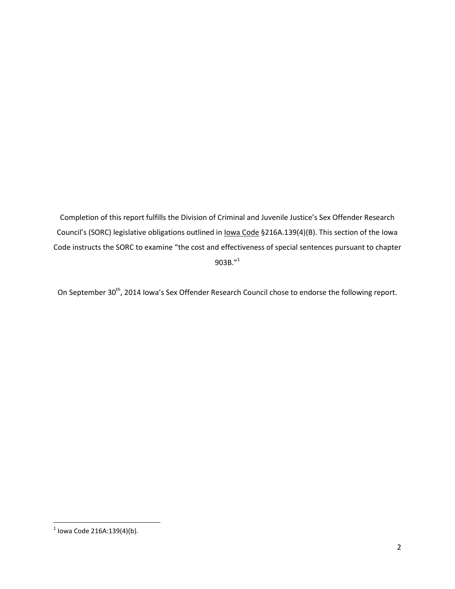Completion of this report fulfills the Division of Criminal and Juvenile Justice's Sex Offender Research Council's (SORC) legislative obligations outlined in Iowa Code §216A.139(4)(B). This section of the Iowa Code instructs the SORC to examine "the cost and effectiveness of special sentences pursuant to chapter 903B."<sup>1</sup>

On September 30<sup>th</sup>, 2014 Iowa's Sex Offender Research Council chose to endorse the following report.

 1 Iowa Code 216A:139(4)(b).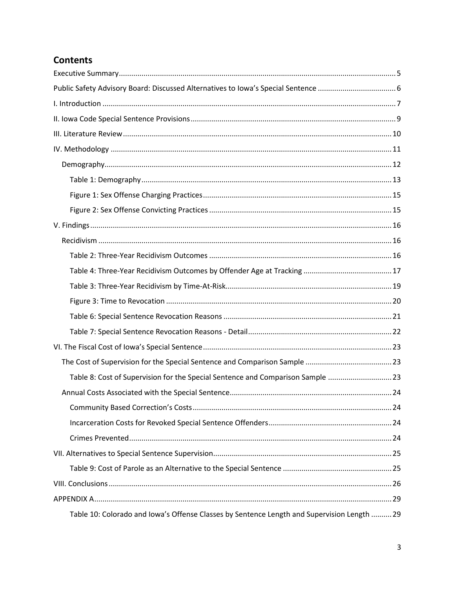# **Contents**

| Table 8: Cost of Supervision for the Special Sentence and Comparison Sample  23             |  |
|---------------------------------------------------------------------------------------------|--|
|                                                                                             |  |
|                                                                                             |  |
|                                                                                             |  |
|                                                                                             |  |
|                                                                                             |  |
|                                                                                             |  |
|                                                                                             |  |
|                                                                                             |  |
| Table 10: Colorado and Iowa's Offense Classes by Sentence Length and Supervision Length  29 |  |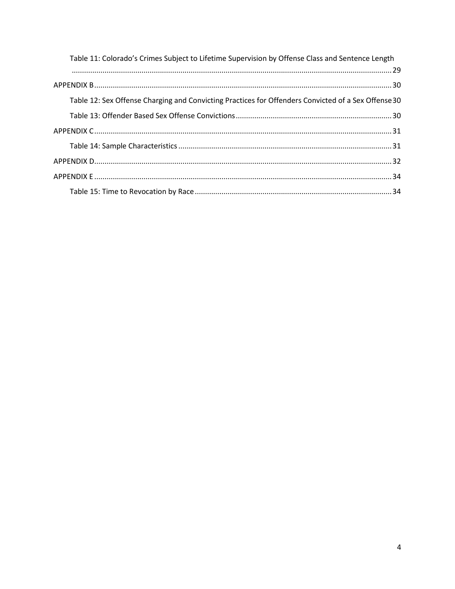| Table 11: Colorado's Crimes Subject to Lifetime Supervision by Offense Class and Sentence Length    |
|-----------------------------------------------------------------------------------------------------|
|                                                                                                     |
| Table 12: Sex Offense Charging and Convicting Practices for Offenders Convicted of a Sex Offense 30 |
|                                                                                                     |
|                                                                                                     |
|                                                                                                     |
|                                                                                                     |
|                                                                                                     |
|                                                                                                     |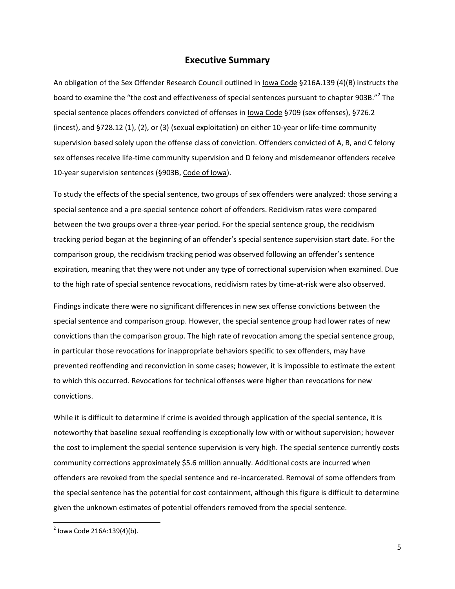#### **Executive Summary**

<span id="page-4-0"></span>An obligation of the Sex Offender Research Council outlined in Iowa Code §216A.139 (4)(B) instructs the board to examine the "the cost and effectiveness of special sentences pursuant to chapter 903B."<sup>2</sup> The special sentence places offenders convicted of offenses in lowa Code §709 (sex offenses), §726.2 (incest), and §728.12 (1), (2), or (3) (sexual exploitation) on either 10-year or life-time community supervision based solely upon the offense class of conviction. Offenders convicted of A, B, and C felony sex offenses receive life-time community supervision and D felony and misdemeanor offenders receive 10-year supervision sentences (§903B, Code of Iowa).

To study the effects of the special sentence, two groups of sex offenders were analyzed: those serving a special sentence and a pre-special sentence cohort of offenders. Recidivism rates were compared between the two groups over a three-year period. For the special sentence group, the recidivism tracking period began at the beginning of an offender's special sentence supervision start date. For the comparison group, the recidivism tracking period was observed following an offender's sentence expiration, meaning that they were not under any type of correctional supervision when examined. Due to the high rate of special sentence revocations, recidivism rates by time-at-risk were also observed.

Findings indicate there were no significant differences in new sex offense convictions between the special sentence and comparison group. However, the special sentence group had lower rates of new convictions than the comparison group. The high rate of revocation among the special sentence group, in particular those revocations for inappropriate behaviors specific to sex offenders, may have prevented reoffending and reconviction in some cases; however, it is impossible to estimate the extent to which this occurred. Revocations for technical offenses were higher than revocations for new convictions.

While it is difficult to determine if crime is avoided through application of the special sentence, it is noteworthy that baseline sexual reoffending is exceptionally low with or without supervision; however the cost to implement the special sentence supervision is very high. The special sentence currently costs community corrections approximately \$5.6 million annually. Additional costs are incurred when offenders are revoked from the special sentence and re-incarcerated. Removal of some offenders from the special sentence has the potential for cost containment, although this figure is difficult to determine given the unknown estimates of potential offenders removed from the special sentence.

 $\overline{\phantom{a}}$ 

5

 $2^{2}$  lowa Code 216A:139(4)(b).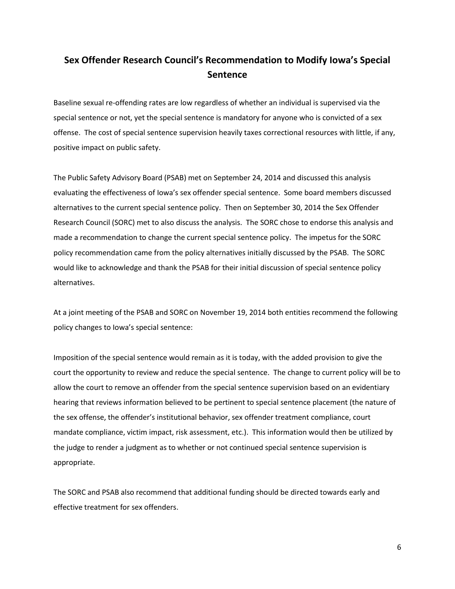# <span id="page-5-0"></span>**Sex Offender Research Council's Recommendation to Modify Iowa's Special Sentence**

Baseline sexual re-offending rates are low regardless of whether an individual is supervised via the special sentence or not, yet the special sentence is mandatory for anyone who is convicted of a sex offense. The cost of special sentence supervision heavily taxes correctional resources with little, if any, positive impact on public safety.

The Public Safety Advisory Board (PSAB) met on September 24, 2014 and discussed this analysis evaluating the effectiveness of Iowa's sex offender special sentence. Some board members discussed alternatives to the current special sentence policy. Then on September 30, 2014 the Sex Offender Research Council (SORC) met to also discuss the analysis. The SORC chose to endorse this analysis and made a recommendation to change the current special sentence policy. The impetus for the SORC policy recommendation came from the policy alternatives initially discussed by the PSAB. The SORC would like to acknowledge and thank the PSAB for their initial discussion of special sentence policy alternatives.

At a joint meeting of the PSAB and SORC on November 19, 2014 both entities recommend the following policy changes to Iowa's special sentence:

Imposition of the special sentence would remain as it is today, with the added provision to give the court the opportunity to review and reduce the special sentence. The change to current policy will be to allow the court to remove an offender from the special sentence supervision based on an evidentiary hearing that reviews information believed to be pertinent to special sentence placement (the nature of the sex offense, the offender's institutional behavior, sex offender treatment compliance, court mandate compliance, victim impact, risk assessment, etc.). This information would then be utilized by the judge to render a judgment as to whether or not continued special sentence supervision is appropriate.

The SORC and PSAB also recommend that additional funding should be directed towards early and effective treatment for sex offenders.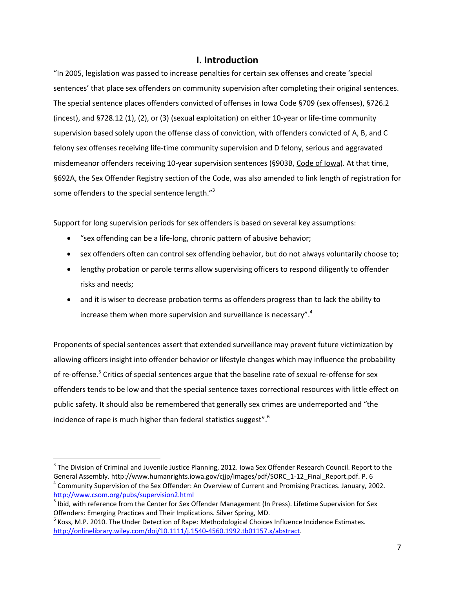### **I. Introduction**

<span id="page-6-0"></span>"In 2005, legislation was passed to increase penalties for certain sex offenses and create 'special sentences' that place sex offenders on community supervision after completing their original sentences. The special sentence places offenders convicted of offenses in Iowa Code §709 (sex offenses), §726.2 (incest), and §728.12 (1), (2), or (3) (sexual exploitation) on either 10-year or life-time community supervision based solely upon the offense class of conviction, with offenders convicted of A, B, and C felony sex offenses receiving life-time community supervision and D felony, serious and aggravated misdemeanor offenders receiving 10-year supervision sentences (§903B, Code of Iowa). At that time, §692A, the Sex Offender Registry section of the Code, was also amended to link length of registration for some offenders to the special sentence length."<sup>3</sup>

Support for long supervision periods for sex offenders is based on several key assumptions:

- "sex offending can be a life-long, chronic pattern of abusive behavior;
- sex offenders often can control sex offending behavior, but do not always voluntarily choose to;
- lengthy probation or parole terms allow supervising officers to respond diligently to offender risks and needs;
- and it is wiser to decrease probation terms as offenders progress than to lack the ability to increase them when more supervision and surveillance is necessary".<sup>4</sup>

Proponents of special sentences assert that extended surveillance may prevent future victimization by allowing officers insight into offender behavior or lifestyle changes which may influence the probability of re-offense.<sup>5</sup> Critics of special sentences argue that the baseline rate of sexual re-offense for sex offenders tends to be low and that the special sentence taxes correctional resources with little effect on public safety. It should also be remembered that generally sex crimes are underreported and "the incidence of rape is much higher than federal statistics suggest".<sup>6</sup>

<sup>&</sup>lt;sup>3</sup> The Division of Criminal and Juvenile Justice Planning, 2012. Iowa Sex Offender Research Council. Report to the General Assembly. [http://www.humanrights.iowa.gov/cjjp/images/pdf/SORC\\_1-12\\_Final\\_Report.pdf.](http://www.humanrights.iowa.gov/cjjp/images/pdf/SORC_1-12_Final_Report.pdf) P. 6 4 Community Supervision of the Sex Offender: An Overview of Current and Promising Practices. January, 2002. <http://www.csom.org/pubs/supervision2.html>

<sup>&</sup>lt;sup>5</sup> Ibid, with reference from the Center for Sex Offender Management (In Press). Lifetime Supervision for Sex Offenders: Emerging Practices and Their Implications. Silver Spring, MD.

 $<sup>6</sup>$  Koss, M.P. 2010. The Under Detection of Rape: Methodological Choices Influence Incidence Estimates.</sup> [http://onlinelibrary.wiley.com/doi/10.1111/j.1540-4560.1992.tb01157.x/abstract.](http://onlinelibrary.wiley.com/doi/10.1111/j.1540-4560.1992.tb01157.x/abstract)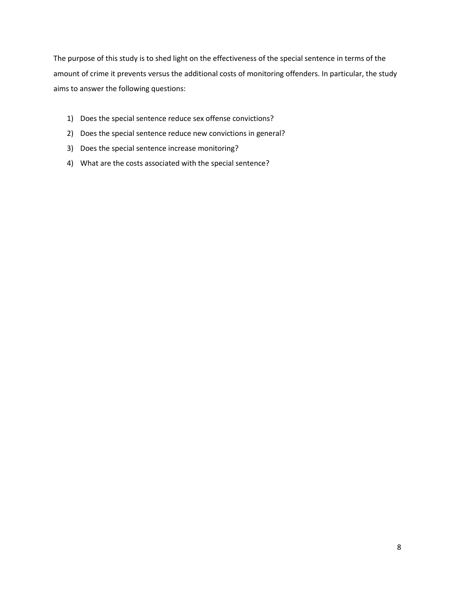The purpose of this study is to shed light on the effectiveness of the special sentence in terms of the amount of crime it prevents versus the additional costs of monitoring offenders. In particular, the study aims to answer the following questions:

- 1) Does the special sentence reduce sex offense convictions?
- 2) Does the special sentence reduce new convictions in general?
- 3) Does the special sentence increase monitoring?
- 4) What are the costs associated with the special sentence?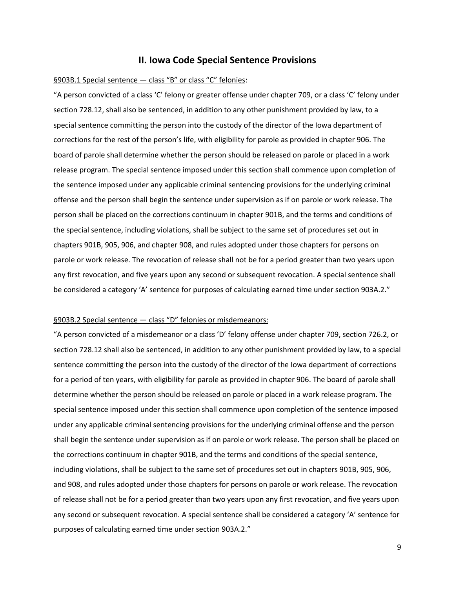#### **II. Iowa Code Special Sentence Provisions**

#### <span id="page-8-0"></span>§903B.1 Special sentence — class "B" or class "C" felonies:

"A person convicted of a class 'C' felony or greater offense under chapter 709, or a class 'C' felony under section 728.12, shall also be sentenced, in addition to any other punishment provided by law, to a special sentence committing the person into the custody of the director of the Iowa department of corrections for the rest of the person's life, with eligibility for parole as provided in chapter 906. The board of parole shall determine whether the person should be released on parole or placed in a work release program. The special sentence imposed under this section shall commence upon completion of the sentence imposed under any applicable criminal sentencing provisions for the underlying criminal offense and the person shall begin the sentence under supervision as if on parole or work release. The person shall be placed on the corrections continuum in chapter 901B, and the terms and conditions of the special sentence, including violations, shall be subject to the same set of procedures set out in chapters 901B, 905, 906, and chapter 908, and rules adopted under those chapters for persons on parole or work release. The revocation of release shall not be for a period greater than two years upon any first revocation, and five years upon any second or subsequent revocation. A special sentence shall be considered a category 'A' sentence for purposes of calculating earned time under section 903A.2."

#### §903B.2 Special sentence - class "D" felonies or misdemeanors:

"A person convicted of a misdemeanor or a class 'D' felony offense under chapter 709, section 726.2, or section 728.12 shall also be sentenced, in addition to any other punishment provided by law, to a special sentence committing the person into the custody of the director of the Iowa department of corrections for a period of ten years, with eligibility for parole as provided in chapter 906. The board of parole shall determine whether the person should be released on parole or placed in a work release program. The special sentence imposed under this section shall commence upon completion of the sentence imposed under any applicable criminal sentencing provisions for the underlying criminal offense and the person shall begin the sentence under supervision as if on parole or work release. The person shall be placed on the corrections continuum in chapter 901B, and the terms and conditions of the special sentence, including violations, shall be subject to the same set of procedures set out in chapters 901B, 905, 906, and 908, and rules adopted under those chapters for persons on parole or work release. The revocation of release shall not be for a period greater than two years upon any first revocation, and five years upon any second or subsequent revocation. A special sentence shall be considered a category 'A' sentence for purposes of calculating earned time under section 903A.2."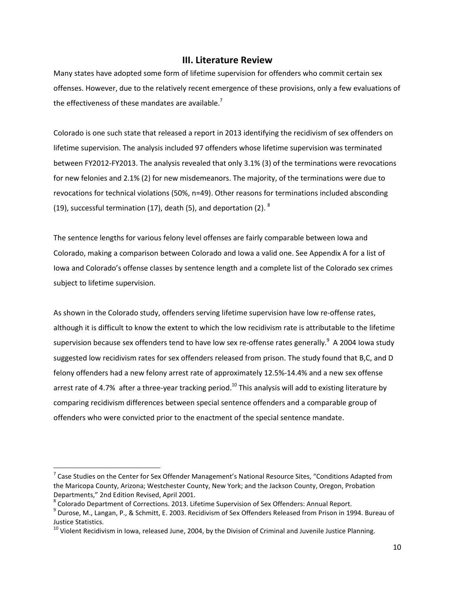#### **III. Literature Review**

<span id="page-9-0"></span>Many states have adopted some form of lifetime supervision for offenders who commit certain sex offenses. However, due to the relatively recent emergence of these provisions, only a few evaluations of the effectiveness of these mandates are available.<sup>7</sup>

Colorado is one such state that released a report in 2013 identifying the recidivism of sex offenders on lifetime supervision. The analysis included 97 offenders whose lifetime supervision was terminated between FY2012-FY2013. The analysis revealed that only 3.1% (3) of the terminations were revocations for new felonies and 2.1% (2) for new misdemeanors. The majority, of the terminations were due to revocations for technical violations (50%, n=49). Other reasons for terminations included absconding (19), successful termination (17), death (5), and deportation (2).  $8$ 

The sentence lengths for various felony level offenses are fairly comparable between Iowa and Colorado, making a comparison between Colorado and Iowa a valid one. See Appendix A for a list of Iowa and Colorado's offense classes by sentence length and a complete list of the Colorado sex crimes subject to lifetime supervision.

As shown in the Colorado study, offenders serving lifetime supervision have low re-offense rates, although it is difficult to know the extent to which the low recidivism rate is attributable to the lifetime supervision because sex offenders tend to have low sex re-offense rates generally.<sup>9</sup> A 2004 Iowa study suggested low recidivism rates for sex offenders released from prison. The study found that B,C, and D felony offenders had a new felony arrest rate of approximately 12.5%-14.4% and a new sex offense arrest rate of 4.7% after a three-year tracking period.<sup>10</sup> This analysis will add to existing literature by comparing recidivism differences between special sentence offenders and a comparable group of offenders who were convicted prior to the enactment of the special sentence mandate.

 $^7$  Case Studies on the Center for Sex Offender Management's National Resource Sites, "Conditions Adapted from the Maricopa County, Arizona; Westchester County, New York; and the Jackson County, Oregon, Probation Departments," 2nd Edition Revised, April 2001.

 $^8$  Colorado Department of Corrections. 2013. Lifetime Supervision of Sex Offenders: Annual Report.

<sup>9</sup> Durose, M., Langan, P., & Schmitt, E. 2003. Recidivism of Sex Offenders Released from Prison in 1994. Bureau of Justice Statistics.

<sup>&</sup>lt;sup>10</sup> Violent Recidivism in Iowa, released June, 2004, by the Division of Criminal and Juvenile Justice Planning.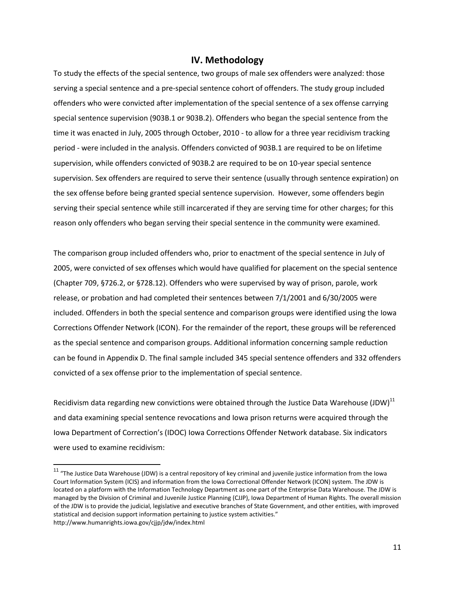#### **IV. Methodology**

<span id="page-10-0"></span>To study the effects of the special sentence, two groups of male sex offenders were analyzed: those serving a special sentence and a pre-special sentence cohort of offenders. The study group included offenders who were convicted after implementation of the special sentence of a sex offense carrying special sentence supervision (903B.1 or 903B.2). Offenders who began the special sentence from the time it was enacted in July, 2005 through October, 2010 - to allow for a three year recidivism tracking period - were included in the analysis. Offenders convicted of 903B.1 are required to be on lifetime supervision, while offenders convicted of 903B.2 are required to be on 10-year special sentence supervision. Sex offenders are required to serve their sentence (usually through sentence expiration) on the sex offense before being granted special sentence supervision. However, some offenders begin serving their special sentence while still incarcerated if they are serving time for other charges; for this reason only offenders who began serving their special sentence in the community were examined.

The comparison group included offenders who, prior to enactment of the special sentence in July of 2005, were convicted of sex offenses which would have qualified for placement on the special sentence (Chapter 709, §726.2, or §728.12). Offenders who were supervised by way of prison, parole, work release, or probation and had completed their sentences between 7/1/2001 and 6/30/2005 were included. Offenders in both the special sentence and comparison groups were identified using the Iowa Corrections Offender Network (ICON). For the remainder of the report, these groups will be referenced as the special sentence and comparison groups. Additional information concerning sample reduction can be found in Appendix D. The final sample included 345 special sentence offenders and 332 offenders convicted of a sex offense prior to the implementation of special sentence.

Recidivism data regarding new convictions were obtained through the Justice Data Warehouse (JDW)<sup>11</sup> and data examining special sentence revocations and Iowa prison returns were acquired through the Iowa Department of Correction's (IDOC) Iowa Corrections Offender Network database. Six indicators were used to examine recidivism:

<sup>&</sup>lt;sup>11</sup> "The Justice Data Warehouse (JDW) is a central repository of key criminal and juvenile justice information from the Iowa Court Information System (ICIS) and information from the Iowa Correctional Offender Network (ICON) system. The JDW is located on a platform with the Information Technology Department as one part of the Enterprise Data Warehouse. The JDW is managed by the Division of Criminal and Juvenile Justice Planning (CJJP), Iowa Department of Human Rights. The overall mission of the JDW is to provide the judicial, legislative and executive branches of State Government, and other entities, with improved statistical and decision support information pertaining to justice system activities." http://www.humanrights.iowa.gov/cjjp/jdw/index.html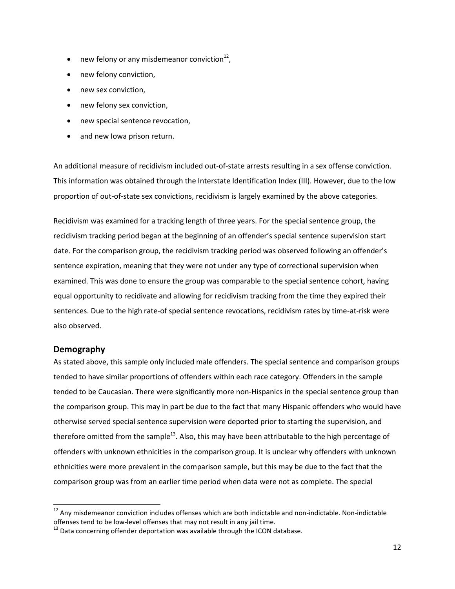- new felony or any misdemeanor conviction $^{12}$ ,
- new felony conviction,
- new sex conviction,
- new felony sex conviction,
- new special sentence revocation,
- and new Iowa prison return.

An additional measure of recidivism included out-of-state arrests resulting in a sex offense conviction. This information was obtained through the Interstate Identification Index (III). However, due to the low proportion of out-of-state sex convictions, recidivism is largely examined by the above categories.

Recidivism was examined for a tracking length of three years. For the special sentence group, the recidivism tracking period began at the beginning of an offender's special sentence supervision start date. For the comparison group, the recidivism tracking period was observed following an offender's sentence expiration, meaning that they were not under any type of correctional supervision when examined. This was done to ensure the group was comparable to the special sentence cohort, having equal opportunity to recidivate and allowing for recidivism tracking from the time they expired their sentences. Due to the high rate-of special sentence revocations, recidivism rates by time-at-risk were also observed.

#### <span id="page-11-0"></span>**Demography**

 $\overline{\phantom{a}}$ 

As stated above, this sample only included male offenders. The special sentence and comparison groups tended to have similar proportions of offenders within each race category. Offenders in the sample tended to be Caucasian. There were significantly more non-Hispanics in the special sentence group than the comparison group. This may in part be due to the fact that many Hispanic offenders who would have otherwise served special sentence supervision were deported prior to starting the supervision, and therefore omitted from the sample $^{13}$ . Also, this may have been attributable to the high percentage of offenders with unknown ethnicities in the comparison group. It is unclear why offenders with unknown ethnicities were more prevalent in the comparison sample, but this may be due to the fact that the comparison group was from an earlier time period when data were not as complete. The special

 $12$  Any misdemeanor conviction includes offenses which are both indictable and non-indictable. Non-indictable offenses tend to be low-level offenses that may not result in any jail time.

 $13$  Data concerning offender deportation was available through the ICON database.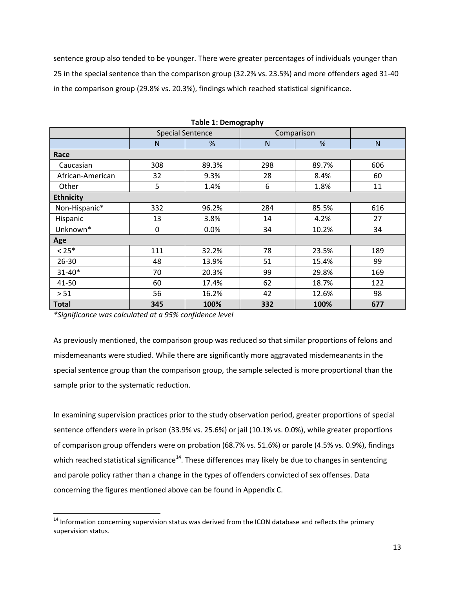sentence group also tended to be younger. There were greater percentages of individuals younger than 25 in the special sentence than the comparison group (32.2% vs. 23.5%) and more offenders aged 31-40 in the comparison group (29.8% vs. 20.3%), findings which reached statistical significance.

<span id="page-12-0"></span>

|                  |                         |       | -9. 72. 7  |       |     |  |  |  |  |
|------------------|-------------------------|-------|------------|-------|-----|--|--|--|--|
|                  | <b>Special Sentence</b> |       | Comparison |       |     |  |  |  |  |
|                  | N                       | %     | N          | %     | N   |  |  |  |  |
| Race             |                         |       |            |       |     |  |  |  |  |
| Caucasian        | 308                     | 89.3% | 298        | 89.7% | 606 |  |  |  |  |
| African-American | 32                      | 9.3%  | 28         | 8.4%  | 60  |  |  |  |  |
| Other            | 5                       | 1.4%  | 6          | 1.8%  | 11  |  |  |  |  |
| <b>Ethnicity</b> |                         |       |            |       |     |  |  |  |  |
| Non-Hispanic*    | 332                     | 96.2% | 284        | 85.5% | 616 |  |  |  |  |
| Hispanic         | 13                      | 3.8%  | 14         | 4.2%  | 27  |  |  |  |  |
| Unknown*         | $\mathbf 0$             | 0.0%  | 34         | 10.2% | 34  |  |  |  |  |
| Age              |                         |       |            |       |     |  |  |  |  |
| $< 25*$          | 111                     | 32.2% | 78         | 23.5% | 189 |  |  |  |  |
| $26 - 30$        | 48                      | 13.9% | 51         | 15.4% | 99  |  |  |  |  |
| $31 - 40*$       | 70                      | 20.3% | 99         | 29.8% | 169 |  |  |  |  |
| 41-50            | 60                      | 17.4% | 62         | 18.7% | 122 |  |  |  |  |
| > 51             | 56                      | 16.2% | 42         | 12.6% | 98  |  |  |  |  |
| Total            | 345                     | 100%  | 332        | 100%  | 677 |  |  |  |  |

**Table 1: Demography**

*\*Significance was calculated at a 95% confidence level*

l

As previously mentioned, the comparison group was reduced so that similar proportions of felons and misdemeanants were studied. While there are significantly more aggravated misdemeanants in the special sentence group than the comparison group, the sample selected is more proportional than the sample prior to the systematic reduction.

In examining supervision practices prior to the study observation period, greater proportions of special sentence offenders were in prison (33.9% vs. 25.6%) or jail (10.1% vs. 0.0%), while greater proportions of comparison group offenders were on probation (68.7% vs. 51.6%) or parole (4.5% vs. 0.9%), findings which reached statistical significance<sup>14</sup>. These differences may likely be due to changes in sentencing and parole policy rather than a change in the types of offenders convicted of sex offenses. Data concerning the figures mentioned above can be found in Appendix C.

<sup>&</sup>lt;sup>14</sup> Information concerning supervision status was derived from the ICON database and reflects the primary supervision status.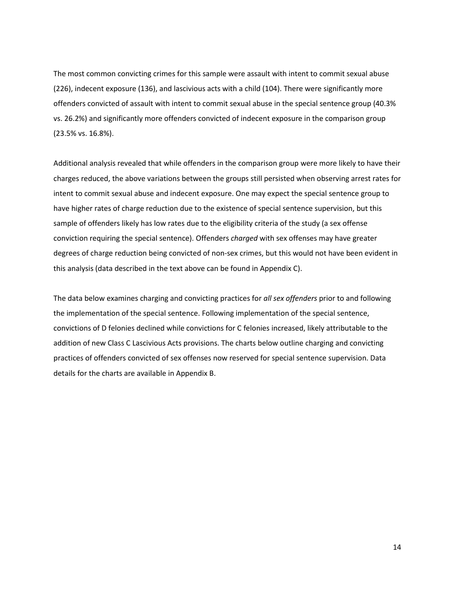The most common convicting crimes for this sample were assault with intent to commit sexual abuse (226), indecent exposure (136), and lascivious acts with a child (104). There were significantly more offenders convicted of assault with intent to commit sexual abuse in the special sentence group (40.3% vs. 26.2%) and significantly more offenders convicted of indecent exposure in the comparison group (23.5% vs. 16.8%).

Additional analysis revealed that while offenders in the comparison group were more likely to have their charges reduced, the above variations between the groups still persisted when observing arrest rates for intent to commit sexual abuse and indecent exposure. One may expect the special sentence group to have higher rates of charge reduction due to the existence of special sentence supervision, but this sample of offenders likely has low rates due to the eligibility criteria of the study (a sex offense conviction requiring the special sentence). Offenders *charged* with sex offenses may have greater degrees of charge reduction being convicted of non-sex crimes, but this would not have been evident in this analysis (data described in the text above can be found in Appendix C).

The data below examines charging and convicting practices for *all sex offenders* prior to and following the implementation of the special sentence. Following implementation of the special sentence, convictions of D felonies declined while convictions for C felonies increased, likely attributable to the addition of new Class C Lascivious Acts provisions. The charts below outline charging and convicting practices of offenders convicted of sex offenses now reserved for special sentence supervision. Data details for the charts are available in Appendix B.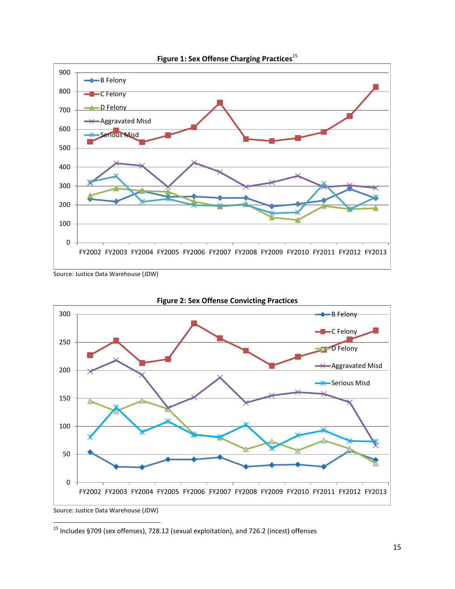<span id="page-14-0"></span>

Figure 1: Sex Offense Charging Practices<sup>15</sup>

Source: Justice Data Warehouse (JDW)

<span id="page-14-1"></span>

**Figure 2: Sex Offense Convicting Practices**

Source: Justice Data Warehouse (JDW)

 $^{15}$  Includes §709 (sex offenses), 728.12 (sexual exploitation), and 726.2 (incest) offenses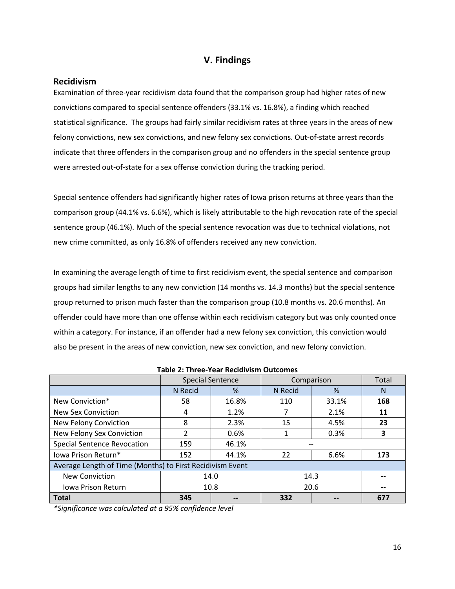### **V. Findings**

#### <span id="page-15-1"></span><span id="page-15-0"></span>**Recidivism**

Examination of three-year recidivism data found that the comparison group had higher rates of new convictions compared to special sentence offenders (33.1% vs. 16.8%), a finding which reached statistical significance. The groups had fairly similar recidivism rates at three years in the areas of new felony convictions, new sex convictions, and new felony sex convictions. Out-of-state arrest records indicate that three offenders in the comparison group and no offenders in the special sentence group were arrested out-of-state for a sex offense conviction during the tracking period.

Special sentence offenders had significantly higher rates of Iowa prison returns at three years than the comparison group (44.1% vs. 6.6%), which is likely attributable to the high revocation rate of the special sentence group (46.1%). Much of the special sentence revocation was due to technical violations, not new crime committed, as only 16.8% of offenders received any new conviction.

In examining the average length of time to first recidivism event, the special sentence and comparison groups had similar lengths to any new conviction (14 months vs. 14.3 months) but the special sentence group returned to prison much faster than the comparison group (10.8 months vs. 20.6 months). An offender could have more than one offense within each recidivism category but was only counted once within a category. For instance, if an offender had a new felony sex conviction, this conviction would also be present in the areas of new conviction, new sex conviction, and new felony conviction.

<span id="page-15-2"></span>

|                                                           |         | <b>Special Sentence</b> | Comparison | Total |     |  |
|-----------------------------------------------------------|---------|-------------------------|------------|-------|-----|--|
|                                                           | N Recid | %                       | N Recid    | %     | N   |  |
| New Conviction*                                           | 58      | 16.8%                   | 110        | 33.1% | 168 |  |
| New Sex Conviction                                        | 4       | 1.2%                    |            | 2.1%  | 11  |  |
| New Felony Conviction                                     | 8       | 2.3%                    | 15         | 4.5%  | 23  |  |
| New Felony Sex Conviction                                 | 2       | 0.6%                    |            | 0.3%  | 3   |  |
| <b>Special Sentence Revocation</b>                        | 159     | 46.1%                   |            |       |     |  |
| lowa Prison Return*                                       | 152     | 44.1%                   | 22         | 6.6%  | 173 |  |
| Average Length of Time (Months) to First Recidivism Event |         |                         |            |       |     |  |
| <b>New Conviction</b>                                     |         | 14.0                    | 14.3       |       |     |  |
| Jowa Prison Return                                        |         | 10.8                    | 20.6       | --    |     |  |
| <b>Total</b>                                              | 345     |                         | 332        |       | 677 |  |

**Table 2: Three-Year Recidivism Outcomes**

*\*Significance was calculated at a 95% confidence level*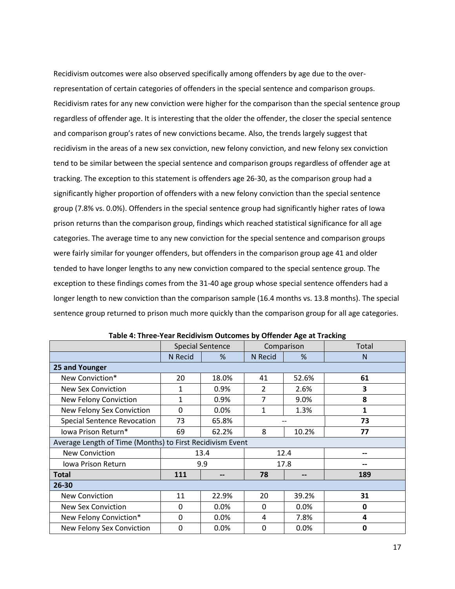Recidivism outcomes were also observed specifically among offenders by age due to the overrepresentation of certain categories of offenders in the special sentence and comparison groups. Recidivism rates for any new conviction were higher for the comparison than the special sentence group regardless of offender age. It is interesting that the older the offender, the closer the special sentence and comparison group's rates of new convictions became. Also, the trends largely suggest that recidivism in the areas of a new sex conviction, new felony conviction, and new felony sex conviction tend to be similar between the special sentence and comparison groups regardless of offender age at tracking. The exception to this statement is offenders age 26-30, as the comparison group had a significantly higher proportion of offenders with a new felony conviction than the special sentence group (7.8% vs. 0.0%). Offenders in the special sentence group had significantly higher rates of Iowa prison returns than the comparison group, findings which reached statistical significance for all age categories. The average time to any new conviction for the special sentence and comparison groups were fairly similar for younger offenders, but offenders in the comparison group age 41 and older tended to have longer lengths to any new conviction compared to the special sentence group. The exception to these findings comes from the 31-40 age group whose special sentence offenders had a longer length to new conviction than the comparison sample (16.4 months vs. 13.8 months). The special sentence group returned to prison much more quickly than the comparison group for all age categories.

<span id="page-16-0"></span>

|                                                           |                | <b>Special Sentence</b> | Comparison     |       | Total        |  |
|-----------------------------------------------------------|----------------|-------------------------|----------------|-------|--------------|--|
|                                                           | <b>N</b> Recid | %                       | N Recid        | %     | N            |  |
| 25 and Younger                                            |                |                         |                |       |              |  |
| New Conviction*                                           | 20             | 18.0%                   | 41             | 52.6% | 61           |  |
| <b>New Sex Conviction</b>                                 | 1              | 0.9%                    | $\overline{2}$ | 2.6%  | 3            |  |
| New Felony Conviction                                     | $\mathbf{1}$   | 0.9%                    | 7              | 9.0%  | 8            |  |
| New Felony Sex Conviction                                 | 0              | 0.0%                    | 1              | 1.3%  | $\mathbf{1}$ |  |
| <b>Special Sentence Revocation</b>                        | 73<br>65.8%    |                         |                |       | 73           |  |
| lowa Prison Return*                                       | 69             | 8<br>10.2%<br>62.2%     |                |       | 77           |  |
| Average Length of Time (Months) to First Recidivism Event |                |                         |                |       |              |  |
| <b>New Conviction</b>                                     |                | 13.4                    | 12.4           |       | --           |  |
| Iowa Prison Return                                        | 9.9            |                         |                | 17.8  | --           |  |
| <b>Total</b>                                              | 111            | --                      | 78             |       | 189          |  |
| 26-30                                                     |                |                         |                |       |              |  |
| New Conviction                                            | 11             | 22.9%                   | 20             | 39.2% | 31           |  |
| New Sex Conviction                                        | 0              | 0.0%                    | 0              | 0.0%  | 0            |  |
| New Felony Conviction*                                    | 0              | $0.0\%$                 | 4              | 7.8%  | 4            |  |
| New Felony Sex Conviction                                 | $\Omega$       | 0.0%                    | 0              | 0.0%  | 0            |  |

| Table 4: Three-Year Recidivism Outcomes by Offender Age at Tracking |  |  |  |
|---------------------------------------------------------------------|--|--|--|
|---------------------------------------------------------------------|--|--|--|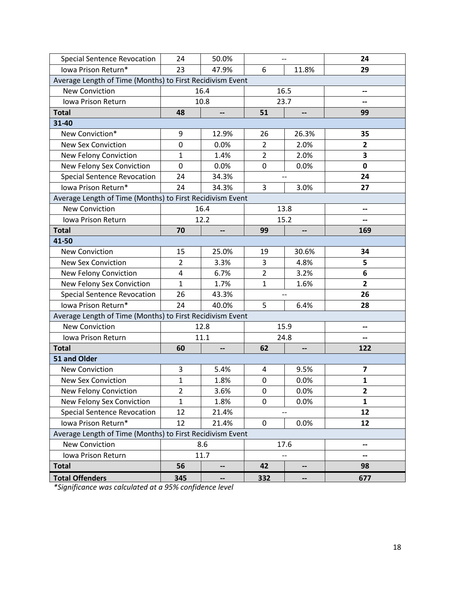| <b>Special Sentence Revocation</b>                        | 24             | 50.0% | $-$              |                          | 24                      |  |  |  |
|-----------------------------------------------------------|----------------|-------|------------------|--------------------------|-------------------------|--|--|--|
| Iowa Prison Return*                                       | 23             | 47.9% | 6                | 11.8%                    | 29                      |  |  |  |
| Average Length of Time (Months) to First Recidivism Event |                |       |                  |                          |                         |  |  |  |
| <b>New Conviction</b>                                     |                | 16.4  |                  | 16.5                     | --                      |  |  |  |
| Iowa Prison Return                                        |                | 10.8  | 23.7             |                          |                         |  |  |  |
| <b>Total</b>                                              | 48             | --    | 51               | --                       | 99                      |  |  |  |
| 31-40                                                     |                |       |                  |                          |                         |  |  |  |
| New Conviction*                                           | 9              | 12.9% | 26               | 26.3%                    | 35                      |  |  |  |
| <b>New Sex Conviction</b>                                 | $\mathbf 0$    | 0.0%  | $\overline{2}$   | 2.0%                     | $\overline{\mathbf{2}}$ |  |  |  |
| New Felony Conviction                                     | $\mathbf{1}$   | 1.4%  | $\overline{2}$   | 2.0%                     | 3                       |  |  |  |
| New Felony Sex Conviction                                 | 0              | 0.0%  | 0                | 0.0%                     | $\mathbf 0$             |  |  |  |
| <b>Special Sentence Revocation</b>                        | 24             | 34.3% |                  | $\overline{\phantom{a}}$ | 24                      |  |  |  |
| Iowa Prison Return*                                       | 24             | 34.3% | 3                | 3.0%                     | 27                      |  |  |  |
| Average Length of Time (Months) to First Recidivism Event |                |       |                  |                          |                         |  |  |  |
| <b>New Conviction</b>                                     |                | 16.4  |                  | 13.8                     | --                      |  |  |  |
| Iowa Prison Return                                        |                | 12.2  |                  | 15.2                     | --                      |  |  |  |
| <b>Total</b>                                              | 70             | --    | 99               |                          | 169                     |  |  |  |
| 41-50                                                     |                |       |                  |                          |                         |  |  |  |
| <b>New Conviction</b>                                     | 15             | 25.0% | 19               | 30.6%                    | 34                      |  |  |  |
| <b>New Sex Conviction</b>                                 | $\overline{2}$ | 3.3%  | 3                | 4.8%                     | 5                       |  |  |  |
| New Felony Conviction                                     | 4              | 6.7%  | $\overline{2}$   | 3.2%                     | 6                       |  |  |  |
| New Felony Sex Conviction                                 | $\mathbf{1}$   | 1.7%  | $\mathbf{1}$     | 1.6%                     | $\overline{2}$          |  |  |  |
| <b>Special Sentence Revocation</b>                        | 26             | 43.3% |                  | $\overline{\phantom{a}}$ | 26                      |  |  |  |
| Iowa Prison Return*                                       | 24             | 40.0% | 5                | 6.4%                     | 28                      |  |  |  |
| Average Length of Time (Months) to First Recidivism Event |                |       |                  |                          |                         |  |  |  |
| <b>New Conviction</b>                                     |                | 12.8  |                  | 15.9                     | --                      |  |  |  |
| Iowa Prison Return                                        |                | 11.1  |                  | 24.8                     | --                      |  |  |  |
| <b>Total</b>                                              | 60             | --    | 62               | --                       | 122                     |  |  |  |
| 51 and Older                                              |                |       |                  |                          |                         |  |  |  |
| <b>New Conviction</b>                                     | 3              | 5.4%  | 4                | 9.5%                     | $\overline{\mathbf{z}}$ |  |  |  |
| <b>New Sex Conviction</b>                                 | $\mathbf{1}$   | 1.8%  | $\boldsymbol{0}$ | 0.0%                     | $\mathbf{1}$            |  |  |  |
| New Felony Conviction                                     | $\overline{2}$ | 3.6%  | $\boldsymbol{0}$ | 0.0%                     | $\mathbf{2}$            |  |  |  |
| New Felony Sex Conviction                                 | $\mathbf{1}$   | 1.8%  | 0                | 0.0%                     | $\mathbf{1}$            |  |  |  |
| <b>Special Sentence Revocation</b>                        | 12             | 21.4% |                  |                          | 12                      |  |  |  |
| Iowa Prison Return*                                       | 12             | 21.4% | $\mathbf 0$      | 0.0%                     | 12                      |  |  |  |
| Average Length of Time (Months) to First Recidivism Event |                |       |                  |                          |                         |  |  |  |
| <b>New Conviction</b>                                     |                | 8.6   | 17.6             |                          | --                      |  |  |  |
| Iowa Prison Return                                        |                | 11.7  |                  | --                       | --                      |  |  |  |
| <b>Total</b>                                              | 56             | --    | 42               | --                       | 98                      |  |  |  |
| <b>Total Offenders</b>                                    | 345            | --    | 332              | $\overline{\phantom{a}}$ | 677                     |  |  |  |

*\*Significance was calculated at a 95% confidence level*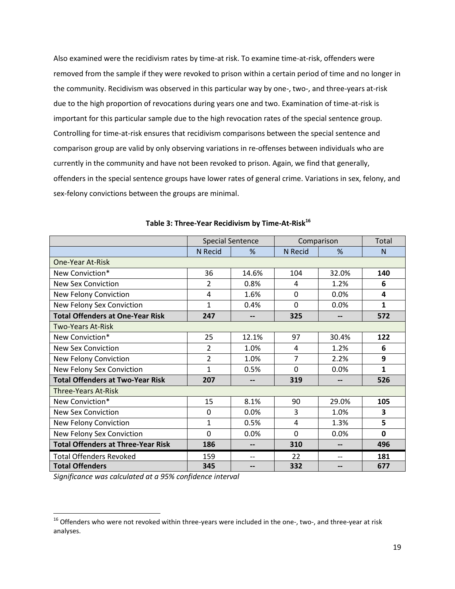Also examined were the recidivism rates by time-at risk. To examine time-at-risk, offenders were removed from the sample if they were revoked to prison within a certain period of time and no longer in the community. Recidivism was observed in this particular way by one-, two-, and three-years at-risk due to the high proportion of revocations during years one and two. Examination of time-at-risk is important for this particular sample due to the high revocation rates of the special sentence group. Controlling for time-at-risk ensures that recidivism comparisons between the special sentence and comparison group are valid by only observing variations in re-offenses between individuals who are currently in the community and have not been revoked to prison. Again, we find that generally, offenders in the special sentence groups have lower rates of general crime. Variations in sex, felony, and sex-felony convictions between the groups are minimal.

|                                           |                | <b>Special Sentence</b>  | Comparison  |       | Total        |
|-------------------------------------------|----------------|--------------------------|-------------|-------|--------------|
|                                           | <b>N</b> Recid | $\%$                     | N Recid     | %     | N            |
| One-Year At-Risk                          |                |                          |             |       |              |
| New Conviction*                           | 36             | 14.6%                    | 104         | 32.0% | 140          |
| <b>New Sex Conviction</b>                 | $\overline{2}$ | 0.8%                     | 4           | 1.2%  | 6            |
| New Felony Conviction                     | 4              | 1.6%                     | $\mathbf 0$ | 0.0%  | 4            |
| New Felony Sex Conviction                 | 1              | 0.4%                     | $\Omega$    | 0.0%  | $\mathbf{1}$ |
| <b>Total Offenders at One-Year Risk</b>   | 247            | --                       | 325         | --    | 572          |
| <b>Two-Years At-Risk</b>                  |                |                          |             |       |              |
| New Conviction*                           | 25             | 12.1%                    | 97          | 30.4% | 122          |
| <b>New Sex Conviction</b>                 | $\overline{2}$ | 1.0%                     | 4           | 1.2%  | 6            |
| New Felony Conviction                     | $\overline{2}$ | 1.0%                     | 7           | 2.2%  | 9            |
| New Felony Sex Conviction                 | $\mathbf{1}$   | 0.5%                     | $\Omega$    | 0.0%  | $\mathbf{1}$ |
| <b>Total Offenders at Two-Year Risk</b>   | 207            | $\overline{\phantom{a}}$ | 319         | --    | 526          |
| <b>Three-Years At-Risk</b>                |                |                          |             |       |              |
| New Conviction*                           | 15             | 8.1%                     | 90          | 29.0% | 105          |
| <b>New Sex Conviction</b>                 | $\overline{0}$ | 0.0%                     | 3           | 1.0%  | 3            |
| New Felony Conviction                     | 1              | 0.5%                     | 4           | 1.3%  | 5            |
| New Felony Sex Conviction                 | $\Omega$       | 0.0%                     | $\Omega$    | 0.0%  | 0            |
| <b>Total Offenders at Three-Year Risk</b> | 186            | --                       | 310         | --    | 496          |
| <b>Total Offenders Revoked</b>            | 159            | $-$                      | 22          | $-$   | 181          |
| <b>Total Offenders</b>                    | 345            | --                       | 332         | --    | 677          |

<span id="page-18-0"></span>

|  |  |  | Table 3: Three-Year Recidivism by Time-At-Risk $^{16}$ |
|--|--|--|--------------------------------------------------------|
|--|--|--|--------------------------------------------------------|

*Significance was calculated at a 95% confidence interval*

l

<sup>&</sup>lt;sup>16</sup> Offenders who were not revoked within three-years were included in the one-, two-, and three-year at risk analyses.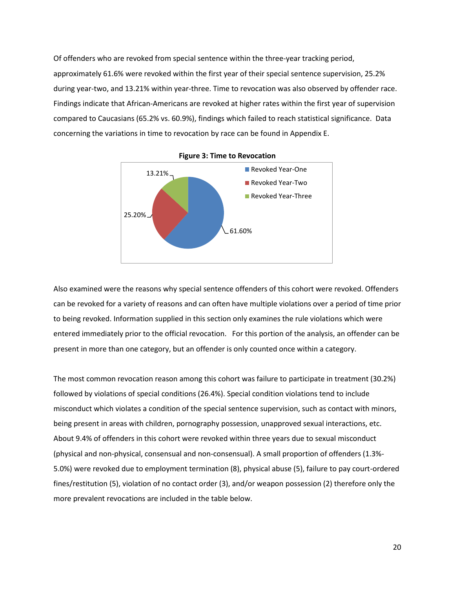Of offenders who are revoked from special sentence within the three-year tracking period, approximately 61.6% were revoked within the first year of their special sentence supervision, 25.2% during year-two, and 13.21% within year-three. Time to revocation was also observed by offender race. Findings indicate that African-Americans are revoked at higher rates within the first year of supervision compared to Caucasians (65.2% vs. 60.9%), findings which failed to reach statistical significance. Data concerning the variations in time to revocation by race can be found in Appendix E.

<span id="page-19-0"></span>

**Figure 3: Time to Revocation**

Also examined were the reasons why special sentence offenders of this cohort were revoked. Offenders can be revoked for a variety of reasons and can often have multiple violations over a period of time prior to being revoked. Information supplied in this section only examines the rule violations which were entered immediately prior to the official revocation. For this portion of the analysis, an offender can be present in more than one category, but an offender is only counted once within a category.

The most common revocation reason among this cohort was failure to participate in treatment (30.2%) followed by violations of special conditions (26.4%). Special condition violations tend to include misconduct which violates a condition of the special sentence supervision, such as contact with minors, being present in areas with children, pornography possession, unapproved sexual interactions, etc. About 9.4% of offenders in this cohort were revoked within three years due to sexual misconduct (physical and non-physical, consensual and non-consensual). A small proportion of offenders (1.3%- 5.0%) were revoked due to employment termination (8), physical abuse (5), failure to pay court-ordered fines/restitution (5), violation of no contact order (3), and/or weapon possession (2) therefore only the more prevalent revocations are included in the table below.

20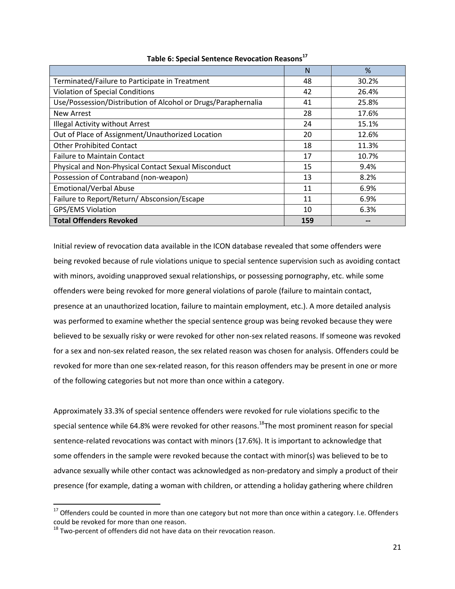<span id="page-20-0"></span>

|                                                               | N   | %     |
|---------------------------------------------------------------|-----|-------|
| Terminated/Failure to Participate in Treatment                | 48  | 30.2% |
| <b>Violation of Special Conditions</b>                        | 42  | 26.4% |
| Use/Possession/Distribution of Alcohol or Drugs/Paraphernalia | 41  | 25.8% |
| <b>New Arrest</b>                                             | 28  | 17.6% |
| Illegal Activity without Arrest                               | 24  | 15.1% |
| Out of Place of Assignment/Unauthorized Location              | 20  | 12.6% |
| <b>Other Prohibited Contact</b>                               | 18  | 11.3% |
| <b>Failure to Maintain Contact</b>                            | 17  | 10.7% |
| Physical and Non-Physical Contact Sexual Misconduct           | 15  | 9.4%  |
| Possession of Contraband (non-weapon)                         | 13  | 8.2%  |
| Emotional/Verbal Abuse                                        | 11  | 6.9%  |
| Failure to Report/Return/Absconsion/Escape                    | 11  | 6.9%  |
| GPS/EMS Violation                                             | 10  | 6.3%  |
| <b>Total Offenders Revoked</b>                                | 159 |       |

#### **Table 6: Special Sentence Revocation Reasons<sup>17</sup>**

Initial review of revocation data available in the ICON database revealed that some offenders were being revoked because of rule violations unique to special sentence supervision such as avoiding contact with minors, avoiding unapproved sexual relationships, or possessing pornography, etc. while some offenders were being revoked for more general violations of parole (failure to maintain contact, presence at an unauthorized location, failure to maintain employment, etc.). A more detailed analysis was performed to examine whether the special sentence group was being revoked because they were believed to be sexually risky or were revoked for other non-sex related reasons. If someone was revoked for a sex and non-sex related reason, the sex related reason was chosen for analysis. Offenders could be revoked for more than one sex-related reason, for this reason offenders may be present in one or more of the following categories but not more than once within a category.

Approximately 33.3% of special sentence offenders were revoked for rule violations specific to the special sentence while 64.8% were revoked for other reasons.<sup>18</sup>The most prominent reason for special sentence-related revocations was contact with minors (17.6%). It is important to acknowledge that some offenders in the sample were revoked because the contact with minor(s) was believed to be to advance sexually while other contact was acknowledged as non-predatory and simply a product of their presence (for example, dating a woman with children, or attending a holiday gathering where children

 $^{17}$  Offenders could be counted in more than one category but not more than once within a category. I.e. Offenders could be revoked for more than one reason.

 $18$  Two-percent of offenders did not have data on their revocation reason.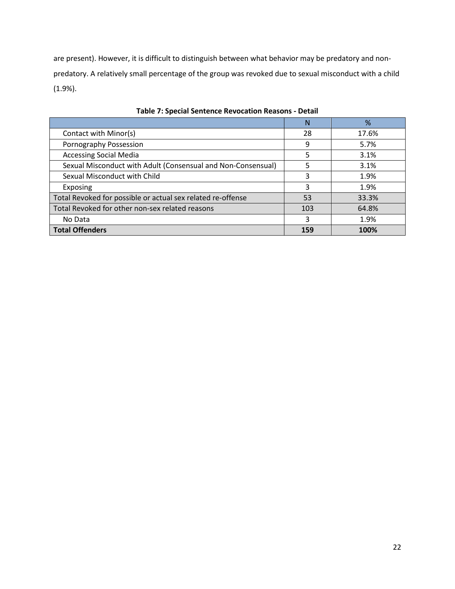are present). However, it is difficult to distinguish between what behavior may be predatory and nonpredatory. A relatively small percentage of the group was revoked due to sexual misconduct with a child (1.9%).

<span id="page-21-0"></span>

|                                                              | N   | %     |
|--------------------------------------------------------------|-----|-------|
| Contact with Minor(s)                                        | 28  | 17.6% |
| Pornography Possession                                       | 9   | 5.7%  |
| <b>Accessing Social Media</b>                                | 5   | 3.1%  |
| Sexual Misconduct with Adult (Consensual and Non-Consensual) | 5   | 3.1%  |
| Sexual Misconduct with Child                                 | 3   | 1.9%  |
| Exposing                                                     | 3   | 1.9%  |
| Total Revoked for possible or actual sex related re-offense  | 53  | 33.3% |
| Total Revoked for other non-sex related reasons              | 103 | 64.8% |
| No Data                                                      | 3   | 1.9%  |
| Total Offenders                                              | 159 | 100%  |

**Table 7: Special Sentence Revocation Reasons - Detail**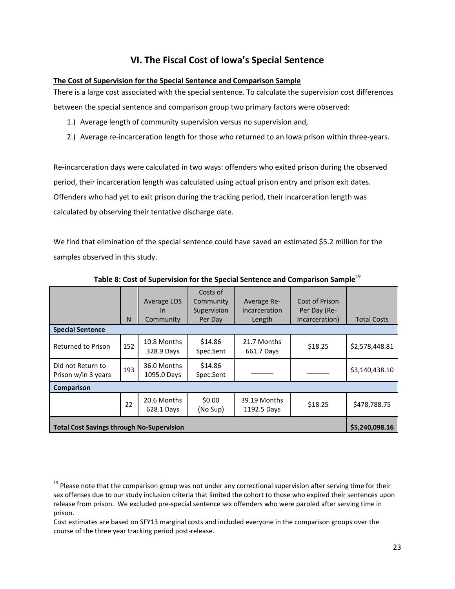# **VI. The Fiscal Cost of Iowa's Special Sentence**

#### <span id="page-22-1"></span><span id="page-22-0"></span>**The Cost of Supervision for the Special Sentence and Comparison Sample**

There is a large cost associated with the special sentence. To calculate the supervision cost differences between the special sentence and comparison group two primary factors were observed:

- 1.) Average length of community supervision versus no supervision and,
- 2.) Average re-incarceration length for those who returned to an Iowa prison within three-years.

Re-incarceration days were calculated in two ways: offenders who exited prison during the observed period, their incarceration length was calculated using actual prison entry and prison exit dates. Offenders who had yet to exit prison during the tracking period, their incarceration length was calculated by observing their tentative discharge date.

We find that elimination of the special sentence could have saved an estimated \$5.2 million for the samples observed in this study.

<span id="page-22-2"></span>

|                                                  | N   | Average LOS<br>In<br>Community | Costs of<br>Community<br>Supervision<br>Per Day | Average Re-<br><b>Incarceration</b><br>Length | Cost of Prison<br>Per Day (Re-<br>Incarceration) | <b>Total Costs</b> |
|--------------------------------------------------|-----|--------------------------------|-------------------------------------------------|-----------------------------------------------|--------------------------------------------------|--------------------|
| <b>Special Sentence</b>                          |     |                                |                                                 |                                               |                                                  |                    |
| Returned to Prison                               | 152 | 10.8 Months<br>328.9 Days      | \$14.86<br>Spec.Sent                            | 21.7 Months<br>661.7 Days                     | \$18.25                                          | \$2,578,448.81     |
| Did not Return to<br>Prison w/in 3 years         | 193 | 36.0 Months<br>1095.0 Days     | \$14.86<br>Spec.Sent                            |                                               |                                                  | \$3,140,438.10     |
| <b>Comparison</b>                                |     |                                |                                                 |                                               |                                                  |                    |
|                                                  | 22  | 20.6 Months<br>628.1 Days      | \$0.00<br>(No Sup)                              | 39.19 Months<br>1192.5 Days                   | \$18.25                                          | \$478,788.75       |
| <b>Total Cost Savings through No-Supervision</b> |     |                                |                                                 |                                               |                                                  |                    |

#### **Table 8: Cost of Supervision for the Special Sentence and Comparison Sample**<sup>19</sup>

 $\overline{a}$ 

<sup>&</sup>lt;sup>19</sup> Please note that the comparison group was not under any correctional supervision after serving time for their sex offenses due to our study inclusion criteria that limited the cohort to those who expired their sentences upon release from prison. We excluded pre-special sentence sex offenders who were paroled after serving time in prison.

Cost estimates are based on SFY13 marginal costs and included everyone in the comparison groups over the course of the three year tracking period post-release.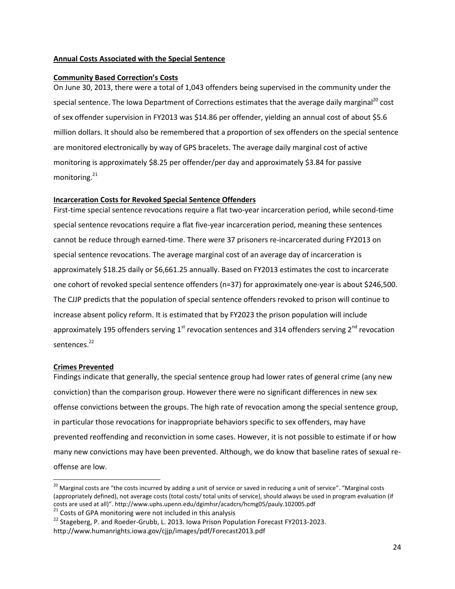#### <span id="page-23-0"></span>**Annual Costs Associated with the Special Sentence**

#### <span id="page-23-1"></span>**Community Based Correction's Costs**

On June 30, 2013, there were a total of 1,043 offenders being supervised in the community under the special sentence. The Iowa Department of Corrections estimates that the average daily marginal<sup>20</sup> cost of sex offender supervision in FY2013 was \$14.86 per offender, yielding an annual cost of about \$5.6 million dollars. It should also be remembered that a proportion of sex offenders on the special sentence are monitored electronically by way of GPS bracelets. The average daily marginal cost of active monitoring is approximately \$8.25 per offender/per day and approximately \$3.84 for passive monitoring.<sup>21</sup>

#### <span id="page-23-2"></span>**Incarceration Costs for Revoked Special Sentence Offenders**

First-time special sentence revocations require a flat two-year incarceration period, while second-time special sentence revocations require a flat five-year incarceration period, meaning these sentences cannot be reduce through earned-time. There were 37 prisoners re-incarcerated during FY2013 on special sentence revocations. The average marginal cost of an average day of incarceration is approximately \$18.25 daily or \$6,661.25 annually. Based on FY2013 estimates the cost to incarcerate one cohort of revoked special sentence offenders (n=37) for approximately one-year is about \$246,500. The CJJP predicts that the population of special sentence offenders revoked to prison will continue to increase absent policy reform. It is estimated that by FY2023 the prison population will include approximately 195 offenders serving  $1<sup>st</sup>$  revocation sentences and 314 offenders serving  $2<sup>nd</sup>$  revocation sentences.<sup>22</sup>

#### <span id="page-23-3"></span>**Crimes Prevented**

 $\overline{\phantom{a}}$ 

Findings indicate that generally, the special sentence group had lower rates of general crime (any new conviction) than the comparison group. However there were no significant differences in new sex offense convictions between the groups. The high rate of revocation among the special sentence group, in particular those revocations for inappropriate behaviors specific to sex offenders, may have prevented reoffending and reconviction in some cases. However, it is not possible to estimate if or how many new convictions may have been prevented. Although, we do know that baseline rates of sexual reoffense are low.

 $21$  Costs of GPA monitoring were not included in this analysis

<sup>&</sup>lt;sup>20</sup> Marginal costs are "the costs incurred by adding a unit of service or saved in reducing a unit of service". "Marginal costs (appropriately defined), not average costs (total costs/ total units of service), should always be used in program evaluation (if costs are used at all)". http://www.uphs.upenn.edu/dgimhsr/acadcrs/hcmg05/pauly.102005.pdf

 $^{22}$  Stageberg, P. and Roeder-Grubb, L. 2013. Iowa Prison Population Forecast FY2013-2023. http://www.humanrights.iowa.gov/cjjp/images/pdf/Forecast2013.pdf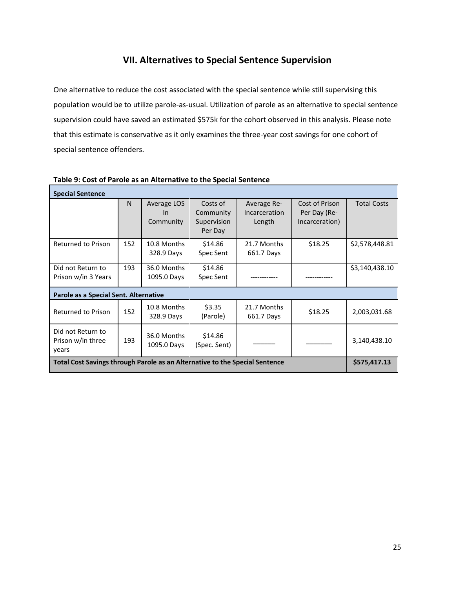## **VII. Alternatives to Special Sentence Supervision**

<span id="page-24-0"></span>One alternative to reduce the cost associated with the special sentence while still supervising this population would be to utilize parole-as-usual. Utilization of parole as an alternative to special sentence supervision could have saved an estimated \$575k for the cohort observed in this analysis. Please note that this estimate is conservative as it only examines the three-year cost savings for one cohort of special sentence offenders.

| <b>Special Sentence</b>                                                     |     |             |              |               |                |                    |  |  |  |  |
|-----------------------------------------------------------------------------|-----|-------------|--------------|---------------|----------------|--------------------|--|--|--|--|
|                                                                             | N.  | Average LOS | Costs of     | Average Re-   | Cost of Prison | <b>Total Costs</b> |  |  |  |  |
|                                                                             |     | $\ln$       | Community    | Incarceration | Per Day (Re-   |                    |  |  |  |  |
|                                                                             |     | Community   | Supervision  | Length        | Incarceration) |                    |  |  |  |  |
|                                                                             |     |             | Per Day      |               |                |                    |  |  |  |  |
| <b>Returned to Prison</b>                                                   | 152 | 10.8 Months | \$14.86      | 21.7 Months   | \$18.25        | \$2,578,448.81     |  |  |  |  |
|                                                                             |     | 328.9 Days  | Spec Sent    | 661.7 Days    |                |                    |  |  |  |  |
| Did not Return to                                                           | 193 | 36.0 Months | \$14.86      |               |                | \$3,140,438.10     |  |  |  |  |
| Prison w/in 3 Years                                                         |     | 1095.0 Days | Spec Sent    |               |                |                    |  |  |  |  |
| Parole as a Special Sent. Alternative                                       |     |             |              |               |                |                    |  |  |  |  |
| Returned to Prison                                                          | 152 | 10.8 Months | \$3.35       | 21.7 Months   |                |                    |  |  |  |  |
|                                                                             |     | 328.9 Days  | (Parole)     | 661.7 Days    | \$18.25        | 2,003,031.68       |  |  |  |  |
| Did not Return to                                                           |     |             |              |               |                |                    |  |  |  |  |
| Prison w/in three                                                           | 193 | 36.0 Months | \$14.86      |               |                | 3,140,438.10       |  |  |  |  |
| years                                                                       |     | 1095.0 Days | (Spec. Sent) |               |                |                    |  |  |  |  |
| Total Cost Savings through Parole as an Alternative to the Special Sentence |     |             |              |               |                |                    |  |  |  |  |

#### <span id="page-24-1"></span>**Table 9: Cost of Parole as an Alternative to the Special Sentence**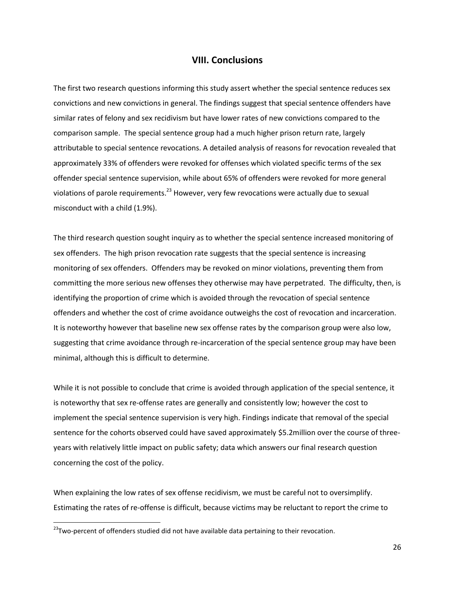#### **VIII. Conclusions**

<span id="page-25-0"></span>The first two research questions informing this study assert whether the special sentence reduces sex convictions and new convictions in general. The findings suggest that special sentence offenders have similar rates of felony and sex recidivism but have lower rates of new convictions compared to the comparison sample. The special sentence group had a much higher prison return rate, largely attributable to special sentence revocations. A detailed analysis of reasons for revocation revealed that approximately 33% of offenders were revoked for offenses which violated specific terms of the sex offender special sentence supervision, while about 65% of offenders were revoked for more general violations of parole requirements.<sup>23</sup> However, very few revocations were actually due to sexual misconduct with a child (1.9%).

The third research question sought inquiry as to whether the special sentence increased monitoring of sex offenders. The high prison revocation rate suggests that the special sentence is increasing monitoring of sex offenders. Offenders may be revoked on minor violations, preventing them from committing the more serious new offenses they otherwise may have perpetrated. The difficulty, then, is identifying the proportion of crime which is avoided through the revocation of special sentence offenders and whether the cost of crime avoidance outweighs the cost of revocation and incarceration. It is noteworthy however that baseline new sex offense rates by the comparison group were also low, suggesting that crime avoidance through re-incarceration of the special sentence group may have been minimal, although this is difficult to determine.

While it is not possible to conclude that crime is avoided through application of the special sentence, it is noteworthy that sex re-offense rates are generally and consistently low; however the cost to implement the special sentence supervision is very high. Findings indicate that removal of the special sentence for the cohorts observed could have saved approximately \$5.2million over the course of threeyears with relatively little impact on public safety; data which answers our final research question concerning the cost of the policy.

When explaining the low rates of sex offense recidivism, we must be careful not to oversimplify. Estimating the rates of re-offense is difficult, because victims may be reluctant to report the crime to

<sup>&</sup>lt;sup>23</sup>Two-percent of offenders studied did not have available data pertaining to their revocation.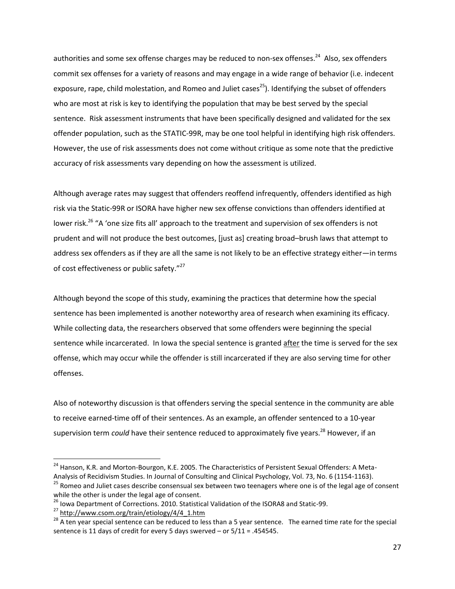authorities and some sex offense charges may be reduced to non-sex offenses.<sup>24</sup> Also, sex offenders commit sex offenses for a variety of reasons and may engage in a wide range of behavior (i.e. indecent exposure, rape, child molestation, and Romeo and Juliet cases<sup>25</sup>). Identifying the subset of offenders who are most at risk is key to identifying the population that may be best served by the special sentence. Risk assessment instruments that have been specifically designed and validated for the sex offender population, such as the STATIC-99R, may be one tool helpful in identifying high risk offenders. However, the use of risk assessments does not come without critique as some note that the predictive accuracy of risk assessments vary depending on how the assessment is utilized.

Although average rates may suggest that offenders reoffend infrequently, offenders identified as high risk via the Static-99R or ISORA have higher new sex offense convictions than offenders identified at lower risk.<sup>26</sup> "A 'one size fits all' approach to the treatment and supervision of sex offenders is not prudent and will not produce the best outcomes, [just as] creating broad–brush laws that attempt to address sex offenders as if they are all the same is not likely to be an effective strategy either—in terms of cost effectiveness or public safety."<sup>27</sup>

Although beyond the scope of this study, examining the practices that determine how the special sentence has been implemented is another noteworthy area of research when examining its efficacy. While collecting data, the researchers observed that some offenders were beginning the special sentence while incarcerated. In Iowa the special sentence is granted after the time is served for the sex offense, which may occur while the offender is still incarcerated if they are also serving time for other offenses.

Also of noteworthy discussion is that offenders serving the special sentence in the community are able to receive earned-time off of their sentences. As an example, an offender sentenced to a 10-year supervision term *could* have their sentence reduced to approximately five years.<sup>28</sup> However, if an

<sup>&</sup>lt;sup>24</sup> Hanson, K.R. and Morton-Bourgon, K.E. 2005. The Characteristics of Persistent Sexual Offenders: A Meta-Analysis of Recidivism Studies. In Journal of Consulting and Clinical Psychology, Vol. 73, No. 6 (1154-1163).

<sup>&</sup>lt;sup>25</sup> Romeo and Juliet cases describe consensual sex between two teenagers where one is of the legal age of consent while the other is under the legal age of consent.

<sup>&</sup>lt;sup>26</sup> Iowa Department of Corrections. 2010. Statistical Validation of the ISORA8 and Static-99.

<sup>&</sup>lt;sup>27</sup> [http://www.csom.org/train/etiology/4/4\\_1.htm](http://www.csom.org/train/etiology/4/4_1.htm)

<sup>&</sup>lt;sup>28</sup> A ten year special sentence can be reduced to less than a 5 year sentence. The earned time rate for the special sentence is 11 days of credit for every 5 days swerved – or 5/11 = .454545.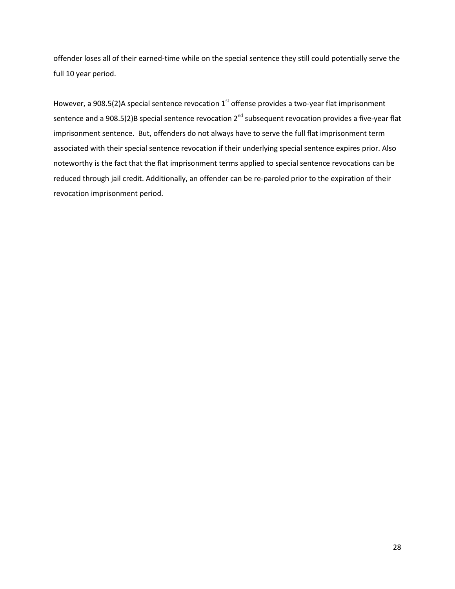offender loses all of their earned-time while on the special sentence they still could potentially serve the full 10 year period.

However, a 908.5(2)A special sentence revocation  $1<sup>st</sup>$  offense provides a two-year flat imprisonment sentence and a 908.5(2)B special sentence revocation 2<sup>nd</sup> subsequent revocation provides a five-year flat imprisonment sentence. But, offenders do not always have to serve the full flat imprisonment term associated with their special sentence revocation if their underlying special sentence expires prior. Also noteworthy is the fact that the flat imprisonment terms applied to special sentence revocations can be reduced through jail credit. Additionally, an offender can be re-paroled prior to the expiration of their revocation imprisonment period.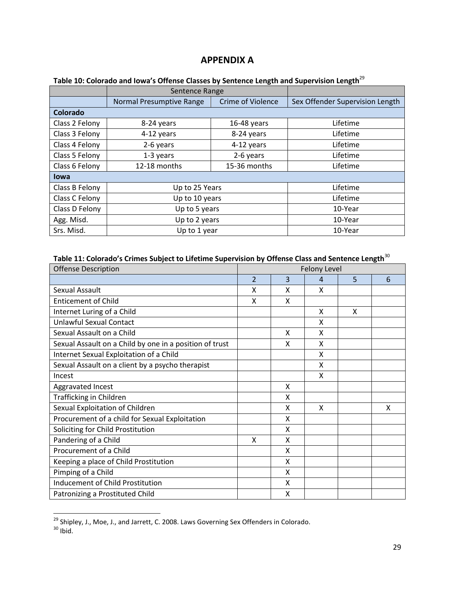## **APPENDIX A**

|                 | Sentence Range           |                          |                                 |
|-----------------|--------------------------|--------------------------|---------------------------------|
|                 | Normal Presumptive Range | <b>Crime of Violence</b> | Sex Offender Supervision Length |
| <b>Colorado</b> |                          |                          |                                 |
| Class 2 Felony  | 8-24 years               | $16-48$ years            | Lifetime                        |
| Class 3 Felony  | 4-12 years               | 8-24 years               | Lifetime                        |
| Class 4 Felony  | 2-6 years                | 4-12 years               | Lifetime                        |
| Class 5 Felony  | 1-3 years                | 2-6 years                | Lifetime                        |
| Class 6 Felony  | 12-18 months             | 15-36 months             | Lifetime                        |
| <b>lowa</b>     |                          |                          |                                 |
| Class B Felony  | Up to 25 Years           |                          | Lifetime                        |
| Class C Felony  | Up to 10 years           | Lifetime                 |                                 |
| Class D Felony  | Up to 5 years            | 10-Year                  |                                 |
| Agg. Misd.      | Up to 2 years            | 10-Year                  |                                 |
| Srs. Misd.      | Up to 1 year             |                          | 10-Year                         |

### <span id="page-28-1"></span><span id="page-28-0"></span>**Table 10: Colorado and Iowa's Offense Classes by Sentence Length and Supervision Length**<sup>29</sup>

# <span id="page-28-2"></span>**Table 11: Colorado's Crimes Subject to Lifetime Supervision by Offense Class and Sentence Length**<sup>30</sup>

| <b>Offense Description</b>                              | <b>Felony Level</b> |   |                |   |   |  |
|---------------------------------------------------------|---------------------|---|----------------|---|---|--|
|                                                         | $\overline{2}$      | 3 | $\overline{4}$ | 5 | 6 |  |
| Sexual Assault                                          | X                   | X | X              |   |   |  |
| <b>Enticement of Child</b>                              | X                   | X |                |   |   |  |
| Internet Luring of a Child                              |                     |   | X              | X |   |  |
| <b>Unlawful Sexual Contact</b>                          |                     |   | X              |   |   |  |
| Sexual Assault on a Child                               |                     | X | X              |   |   |  |
| Sexual Assault on a Child by one in a position of trust |                     | x | X              |   |   |  |
| Internet Sexual Exploitation of a Child                 |                     |   | x              |   |   |  |
| Sexual Assault on a client by a psycho therapist        |                     |   | X              |   |   |  |
| Incest                                                  |                     |   | X              |   |   |  |
| Aggravated Incest                                       |                     | X |                |   |   |  |
| Trafficking in Children                                 |                     | X |                |   |   |  |
| Sexual Exploitation of Children                         |                     | X | X              |   | X |  |
| Procurement of a child for Sexual Exploitation          |                     | X |                |   |   |  |
| Soliciting for Child Prostitution                       |                     | X |                |   |   |  |
| Pandering of a Child                                    | X                   | X |                |   |   |  |
| Procurement of a Child                                  |                     | X |                |   |   |  |
| Keeping a place of Child Prostitution                   |                     | X |                |   |   |  |
| Pimping of a Child                                      |                     | X |                |   |   |  |
| Inducement of Child Prostitution                        |                     | X |                |   |   |  |
| Patronizing a Prostituted Child                         |                     | X |                |   |   |  |

<sup>&</sup>lt;sup>29</sup> Shipley, J., Moe, J., and Jarrett, C. 2008. Laws Governing Sex Offenders in Colorado.

l

 $30$  Ibid.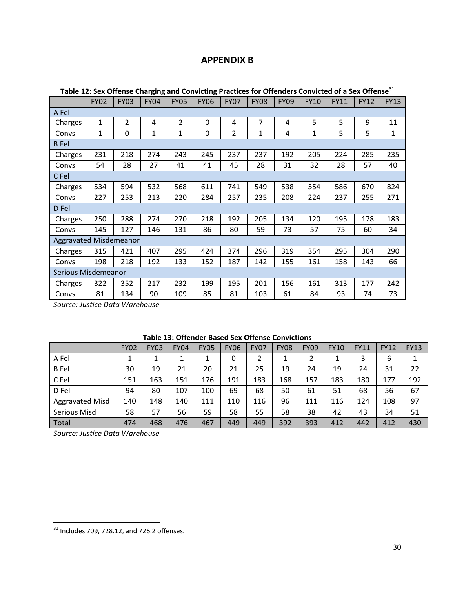# **APPENDIX B**

| Table 12: Sex Offense Charging and Convicting Practices for Offenders Convicted of a Sex Offense |              |             |              |                |             |                |             |             |             |             |             |              |
|--------------------------------------------------------------------------------------------------|--------------|-------------|--------------|----------------|-------------|----------------|-------------|-------------|-------------|-------------|-------------|--------------|
|                                                                                                  | <b>FY02</b>  | <b>FY03</b> | <b>FY04</b>  | <b>FY05</b>    | <b>FY06</b> | <b>FY07</b>    | <b>FY08</b> | <b>FY09</b> | <b>FY10</b> | <b>FY11</b> | <b>FY12</b> | <b>FY13</b>  |
| A Fel                                                                                            |              |             |              |                |             |                |             |             |             |             |             |              |
| Charges                                                                                          | $\mathbf{1}$ | 2           | 4            | $\overline{2}$ | 0           | 4              | 7           | 4           | 5           | 5           | 9           | 11           |
| Convs                                                                                            | $\mathbf{1}$ | 0           | $\mathbf{1}$ | $\mathbf{1}$   | 0           | $\overline{2}$ | 1           | 4           | $\mathbf 1$ | 5           | 5           | $\mathbf{1}$ |
| B Fel                                                                                            |              |             |              |                |             |                |             |             |             |             |             |              |
| Charges                                                                                          | 231          | 218         | 274          | 243            | 245         | 237            | 237         | 192         | 205         | 224         | 285         | 235          |
| Convs                                                                                            | 54           | 28          | 27           | 41             | 41          | 45             | 28          | 31          | 32          | 28          | 57          | 40           |
| C Fel                                                                                            |              |             |              |                |             |                |             |             |             |             |             |              |
| Charges                                                                                          | 534          | 594         | 532          | 568            | 611         | 741            | 549         | 538         | 554         | 586         | 670         | 824          |
| Convs                                                                                            | 227          | 253         | 213          | 220            | 284         | 257            | 235         | 208         | 224         | 237         | 255         | 271          |
| D Fel                                                                                            |              |             |              |                |             |                |             |             |             |             |             |              |
| Charges                                                                                          | 250          | 288         | 274          | 270            | 218         | 192            | 205         | 134         | 120         | 195         | 178         | 183          |
| Convs                                                                                            | 145          | 127         | 146          | 131            | 86          | 80             | 59          | 73          | 57          | 75          | 60          | 34           |
| <b>Aggravated Misdemeanor</b>                                                                    |              |             |              |                |             |                |             |             |             |             |             |              |
| Charges                                                                                          | 315          | 421         | 407          | 295            | 424         | 374            | 296         | 319         | 354         | 295         | 304         | 290          |
| Convs                                                                                            | 198          | 218         | 192          | 133            | 152         | 187            | 142         | 155         | 161         | 158         | 143         | 66           |
| <b>Serious Misdemeanor</b>                                                                       |              |             |              |                |             |                |             |             |             |             |             |              |
| Charges                                                                                          | 322          | 352         | 217          | 232            | 199         | 195            | 201         | 156         | 161         | 313         | 177         | 242          |
| Convs                                                                                            | 81           | 134         | 90           | 109            | 85          | 81             | 103         | 61          | 84          | 93          | 74          | 73           |

<span id="page-29-1"></span><span id="page-29-0"></span>**Table 12: Sex Offense Charging and Convicting Practices for Offenders Convicted of a Sex Offense**<sup>31</sup>

*Source: Justice Data Warehouse*

<span id="page-29-2"></span>

|                        | <b>FY02</b> | <b>FY03</b> | <b>FY04</b> | <b>FY05</b> | <b>FY06</b> | <b>FY07</b> | <b>FY08</b> | <b>FY09</b> | <b>FY10</b> | <b>FY11</b> | <b>FY12</b> | <b>FY13</b> |
|------------------------|-------------|-------------|-------------|-------------|-------------|-------------|-------------|-------------|-------------|-------------|-------------|-------------|
| A Fel                  |             |             |             |             | 0           |             | ┻           |             |             | 3           | 6           |             |
| <b>B</b> Fel           | 30          | 19          | 21          | 20          | 21          | 25          | 19          | 24          | 19          | 24          | 31          | 22          |
| C Fel                  | 151         | 163         | 151         | 176         | 191         | 183         | 168         | 157         | 183         | 180         | 177         | 192         |
| D Fel                  | 94          | 80          | 107         | 100         | 69          | 68          | 50          | 61          | 51          | 68          | 56          | 67          |
| <b>Aggravated Misd</b> | 140         | 148         | 140         | 111         | 110         | 116         | 96          | 111         | 116         | 124         | 108         | 97          |
| Serious Misd           | 58          | 57          | 56          | 59          | 58          | 55          | 58          | 38          | 42          | 43          | 34          | 51          |
| Total                  | 474         | 468         | 476         | 467         | 449         | 449         | 392         | 393         | 412         | 442         | 412         | 430         |

*Source: Justice Data Warehouse*

 $\overline{\phantom{a}}$  . The contract of  $\overline{\phantom{a}}$  ,  $\overline{\phantom{a}}$  ,  $\overline{\phantom{a}}$  ,  $\overline{\phantom{a}}$  ,  $\overline{\phantom{a}}$  ,  $\overline{\phantom{a}}$  ,  $\overline{\phantom{a}}$  ,  $\overline{\phantom{a}}$  ,  $\overline{\phantom{a}}$  ,  $\overline{\phantom{a}}$  ,  $\overline{\phantom{a}}$  ,  $\overline{\phantom{a}}$  ,  $\overline{\phantom{a}}$  ,  $\overline{\phantom{a$ 

 $31$  Includes 709, 728.12, and 726.2 offenses.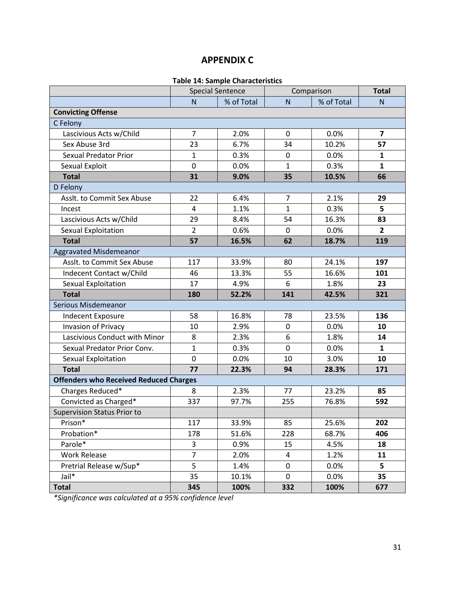# **APPENDIX C**

### **Table 14: Sample Characteristics**

<span id="page-30-1"></span><span id="page-30-0"></span>

|                                               |                | <b>Special Sentence</b> |                | Comparison | <b>Total</b>            |
|-----------------------------------------------|----------------|-------------------------|----------------|------------|-------------------------|
|                                               | $\mathsf{N}$   | % of Total              | ${\sf N}$      | % of Total | N                       |
| <b>Convicting Offense</b>                     |                |                         |                |            |                         |
| C Felony                                      |                |                         |                |            |                         |
| Lascivious Acts w/Child                       | $\overline{7}$ | 2.0%                    | 0              | 0.0%       | $\overline{\mathbf{z}}$ |
| Sex Abuse 3rd                                 | 23             | 6.7%                    | 34             | 10.2%      | 57                      |
| <b>Sexual Predator Prior</b>                  | $\mathbf{1}$   | 0.3%                    | 0              | 0.0%       | $\mathbf{1}$            |
| Sexual Exploit                                | $\mathbf 0$    | 0.0%                    | $\mathbf{1}$   | 0.3%       | $\mathbf{1}$            |
| <b>Total</b>                                  | 31             | 9.0%                    | 35             | 10.5%      | 66                      |
| D Felony                                      |                |                         |                |            |                         |
| Asslt. to Commit Sex Abuse                    | 22             | 6.4%                    | $\overline{7}$ | 2.1%       | 29                      |
| Incest                                        | 4              | 1.1%                    | $\mathbf{1}$   | 0.3%       | 5                       |
| Lascivious Acts w/Child                       | 29             | 8.4%                    | 54             | 16.3%      | 83                      |
| Sexual Exploitation                           | $\overline{2}$ | 0.6%                    | $\mathbf 0$    | 0.0%       | $\overline{2}$          |
| <b>Total</b>                                  | 57             | 16.5%                   | 62             | 18.7%      | 119                     |
| <b>Aggravated Misdemeanor</b>                 |                |                         |                |            |                         |
| Asslt. to Commit Sex Abuse                    | 117            | 33.9%                   | 80             | 24.1%      | 197                     |
| Indecent Contact w/Child                      | 46             | 13.3%                   | 55             | 16.6%      | 101                     |
| Sexual Exploitation                           | 17             | 4.9%                    | 6              | 1.8%       | 23                      |
| <b>Total</b>                                  | 180            | 52.2%                   | 141            | 42.5%      | 321                     |
| Serious Misdemeanor                           |                |                         |                |            |                         |
| Indecent Exposure                             | 58             | 16.8%                   | 78             | 23.5%      | 136                     |
| <b>Invasion of Privacy</b>                    | 10             | 2.9%                    | $\mathbf 0$    | 0.0%       | 10                      |
| Lascivious Conduct with Minor                 | 8              | 2.3%                    | 6              | 1.8%       | 14                      |
| Sexual Predator Prior Conv.                   | $\mathbf{1}$   | 0.3%                    | 0              | 0.0%       | 1                       |
| Sexual Exploitation                           | $\mathbf 0$    | 0.0%                    | 10             | 3.0%       | 10                      |
| <b>Total</b>                                  | 77             | 22.3%                   | 94             | 28.3%      | 171                     |
| <b>Offenders who Received Reduced Charges</b> |                |                         |                |            |                         |
| Charges Reduced*                              | 8              | 2.3%                    | 77             | 23.2%      | 85                      |
| Convicted as Charged*                         | 337            | 97.7%                   | 255            | 76.8%      | 592                     |
| <b>Supervision Status Prior to</b>            |                |                         |                |            |                         |
| Prison*                                       | 117            | 33.9%                   | 85             | 25.6%      | 202                     |
| Probation*                                    | 178            | 51.6%                   | 228            | 68.7%      | 406                     |
| Parole*                                       | 3              | 0.9%                    | 15             | 4.5%       | 18                      |
| <b>Work Release</b>                           | $\overline{7}$ | 2.0%                    | 4              | 1.2%       | 11                      |
| Pretrial Release w/Sup*                       | 5              | 1.4%                    | $\mathbf 0$    | 0.0%       | 5                       |
| Jail*                                         | 35             | 10.1%                   | $\mathbf 0$    | 0.0%       | 35                      |
| <b>Total</b>                                  | 345            | 100%                    | 332            | 100%       | 677                     |

*\*Significance was calculated at a 95% confidence level*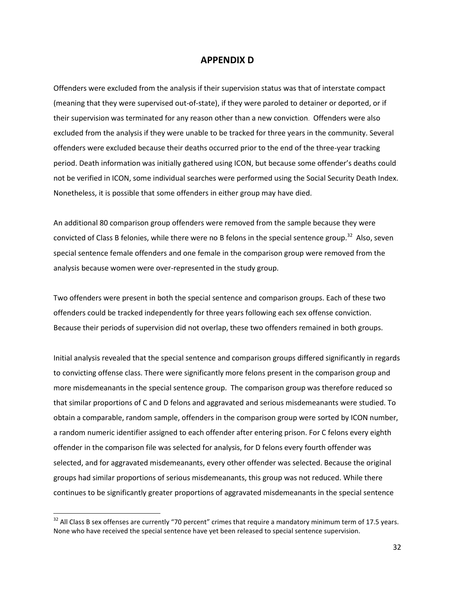#### **APPENDIX D**

<span id="page-31-0"></span>Offenders were excluded from the analysis if their supervision status was that of interstate compact (meaning that they were supervised out-of-state), if they were paroled to detainer or deported, or if their supervision was terminated for any reason other than a new conviction. Offenders were also excluded from the analysis if they were unable to be tracked for three years in the community. Several offenders were excluded because their deaths occurred prior to the end of the three-year tracking period. Death information was initially gathered using ICON, but because some offender's deaths could not be verified in ICON, some individual searches were performed using the Social Security Death Index. Nonetheless, it is possible that some offenders in either group may have died.

An additional 80 comparison group offenders were removed from the sample because they were convicted of Class B felonies, while there were no B felons in the special sentence group.<sup>32</sup> Also, seven special sentence female offenders and one female in the comparison group were removed from the analysis because women were over-represented in the study group.

Two offenders were present in both the special sentence and comparison groups. Each of these two offenders could be tracked independently for three years following each sex offense conviction. Because their periods of supervision did not overlap, these two offenders remained in both groups.

Initial analysis revealed that the special sentence and comparison groups differed significantly in regards to convicting offense class. There were significantly more felons present in the comparison group and more misdemeanants in the special sentence group. The comparison group was therefore reduced so that similar proportions of C and D felons and aggravated and serious misdemeanants were studied. To obtain a comparable, random sample, offenders in the comparison group were sorted by ICON number, a random numeric identifier assigned to each offender after entering prison. For C felons every eighth offender in the comparison file was selected for analysis, for D felons every fourth offender was selected, and for aggravated misdemeanants, every other offender was selected. Because the original groups had similar proportions of serious misdemeanants, this group was not reduced. While there continues to be significantly greater proportions of aggravated misdemeanants in the special sentence

l

 $32$  All Class B sex offenses are currently "70 percent" crimes that require a mandatory minimum term of 17.5 years. None who have received the special sentence have yet been released to special sentence supervision.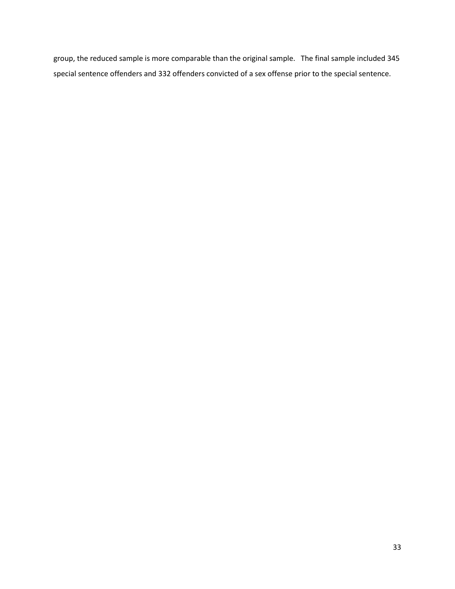group, the reduced sample is more comparable than the original sample. The final sample included 345 special sentence offenders and 332 offenders convicted of a sex offense prior to the special sentence.